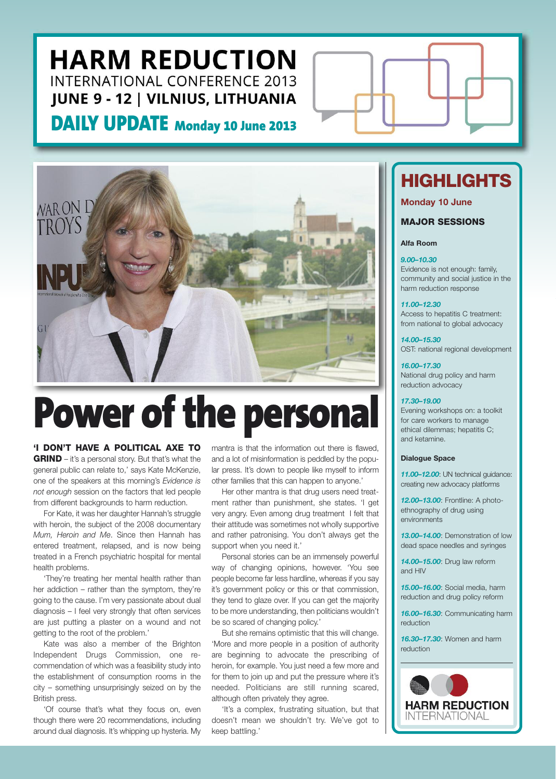**DAILY UPDATE Monday <sup>10</sup> June <sup>2013</sup>**



### **Power of the personal**

**'I DON'T HAVE A POLITICAL AXE TO GRIND** – it's a personal story. But that's what the general public can relate to,' says Kate McKenzie, one of the speakers at this morning's *Evidence is not enough* session on the factors that led people from different backgrounds to harm reduction.

For Kate, it was her daughter Hannah's struggle with heroin, the subject of the 2008 documentary *Mum, Heroin and Me*. Since then Hannah has entered treatment, relapsed, and is now being treated in a French psychiatric hospital for mental health problems.

'They're treating her mental health rather than her addiction – rather than the symptom, they're going to the cause. I'm very passionate about dual diagnosis – I feel very strongly that often services are just putting a plaster on a wound and not getting to the root of the problem.'

Kate was also a member of the Brighton Independent Drugs Commission, one recommendation of which was a feasibility study into the establishment of consumption rooms in the city – something unsurprisingly seized on by the British press.

'Of course that's what they focus on, even though there were 20 recommendations, including around dual diagnosis. It's whipping up hysteria. My mantra is that the information out there is flawed, and a lot of misinformation is peddled by the popular press. It's down to people like myself to inform other families that this can happen to anyone.'

Her other mantra is that drug users need treatment rather than punishment, she states. 'I get very angry. Even among drug treatment I felt that their attitude was sometimes not wholly supportive and rather patronising. You don't always get the support when you need it.'

Personal stories can be an immensely powerful way of changing opinions, however. 'You see people become far less hardline, whereas if you say it's government policy or this or that commission, they tend to glaze over. If you can get the majority to be more understanding, then politicians wouldn't be so scared of changing policy.'

But she remains optimistic that this will change. 'More and more people in a position of authority are beginning to advocate the prescribing of heroin, for example. You just need a few more and for them to join up and put the pressure where it's needed. Politicians are still running scared, although often privately they agree.

'It's a complex, frustrating situation, but that doesn't mean we shouldn't try. We've got to keep battling.'

### **HIGHLIGHTS**

### **Monday 10 June**

### **MAJOR SESSIONS**

#### **Alfa Room**

#### *9.00–10.30*

Evidence is not enough: family, community and social justice in the harm reduction response

*11.00–12.30* Access to hepatitis C treatment: from national to global advocacy

*14.00–15.30* OST: national regional development

*16.00–17.30* National drug policy and harm reduction advocacy

#### *17.30–19.00*

Evening workshops on: a toolkit for care workers to manage ethical dilemmas; hepatitis C; and ketamine.

#### **Dialogue Space**

*11.00–12.00*: UN technical guidance: creating new advocacy platforms

*12.00–13.00*: Frontline: A photoethnography of drug using environments

*13.00–14.00*: Demonstration of low dead space needles and syringes

*14.00–15.00*: Drug law reform and HIV

*15.00–16.00*: Social media, harm reduction and drug policy reform

*16.00–16.30*: Communicating harm reduction

*16.30–17.30*: Women and harm reduction

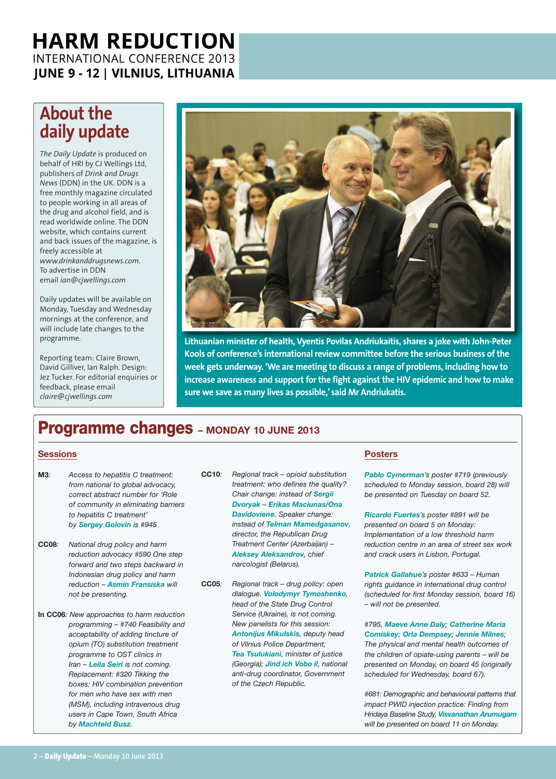### **About the daily update**

*The Daily Update* is produced on behalf of HRI by CJ Wellings Ltd, publishers of *Drink and Drugs News* (DDN) in the UK. DDN is a free monthly magazine circulated to people working in all areas of the drug and alcohol field, and is read worldwide online. The DDN website, which contains current and back issues of the magazine, is freely accessible at *www.drinkanddrugsnews.com*. To advertise in DDN email *ian@cjwellings.com*

Daily updates will be available on Monday, Tuesday and Wednesday mornings at the conference, and will include late changes to the programme.

Reporting team: Claire Brown, David Gilliver, Ian Ralph. Design: Jez Tucker. For editorial enquiries or feedback, please email *claire@cjwellings.com*



**Lithuanian minister of health, Vyentis Povilas Andriukaitis, shares a joke with John-Peter Kools of conference's international review committee before the serious business ofthe week gets underway. 'We are meeting to discuss a range of problems, including how to increase awareness and support forthe fight against the HIV epidemic and how to make sure we save as many lives as possible,' said Mr Andriukatis.**

### **Programme changes – MONDAY <sup>10</sup> JUNE <sup>2013</sup>**

### **Sessions**

- **M3***: Access to hepatitis C treatment: from national to global advocacy, correct abstract number for 'Role of community in eliminating barriers to hepatitis C treatment' by Sergey Golovin is #945*
- **CC08***: National drug policy and harm reduction advocacy #590 One step forward and two steps backward in Indonesian drug policy and harm reduction – Asmin Fransiska will not be presenting.*
- **In CC06***: New approaches to harm reduction programming – #740 Feasibility and acceptability of adding tincture of opium (TO) substitution treatment programme to OST clinics in Iran – Leila Seiri is not coming. Replacement: #320 Tikking the boxes: HIV combination prevention for men who have sex with men (MSM), including intravenous drug users in Cape Town, South Africa by Machteld Busz.*
- **CC10***: Regional track – opioid substitution treatment: who defines the quality? Chair change: instead of Sergii Dvoryak – Erikas Maciunas/Ona Davidoviene. Speaker change: instead of Telman Mamedgasanov, director, the Republican Drug Treatment Center (Azerbaijan) – Aleksey Aleksandrov, chief narcologist (Belarus).*
- **CC05***: Regional track – drug policy: open dialogue. Volodymyr Tymoshenko, head of the State Drug Control Service (Ukraine), is not coming. New panelists for this session: Antonijus Mikulskis, deputy head of Vilnius Police Department; Tea Tsulukiani, minister of justice (Georgia); Jind ich Vobo il, national anti-drug coordinator, Government of the Czech Republic.*

### **Posters**

*Pablo Cymerman's poster #719 (previously scheduled to Monday session, board 28) will be presented on Tuesday on board 52.*

*Ricardo Fuertes's poster #891 will be presented on board 5 on Monday: Implementation of a low threshold harm reduction centre in an area of street sex work and crack users in Lisbon, Portugal.*

*Patrick Gallahue's poster #633 – Human rights guidance in international drug control (scheduled for first Monday session, board 16) – will not be presented.*

*#795, Maeve Anne Daly; Catherine Maria Comiskey; Orla Dempsey; Jennie Milnes; The physical and mental health outcomes of*

*the children of opiate-using parents – will be presented on Monday, on board 45 (originally scheduled for Wednesday, board 67).*

*#681: Demographic and behavioural patterns that impact PWID injection practice: Finding from Hridaya Baseline Study, Visvanathan Arumugam will be presented on board 11 on Monday.*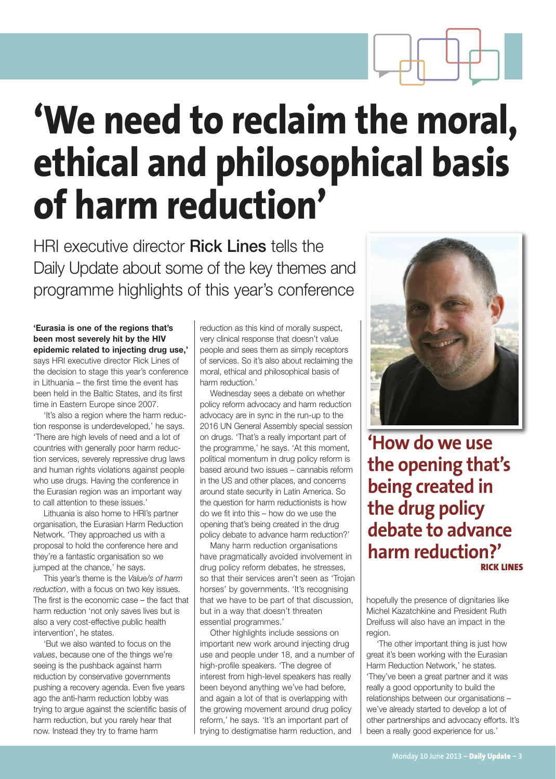

### **'We need to reclaim the moral, ethical and philosophical basis of harm reduction'**

HRI executive director Rick Lines tells the Daily Update about some of the key themes and programme highlights of this year's conference

### **'Eurasia is one of the regions that's been most severely hit by the HIV epidemic related to injecting drug use,'**

says HRI executive director Rick Lines of the decision to stage this year's conference in Lithuania – the first time the event has been held in the Baltic States, and its first time in Eastern Europe since 2007.

'It's also a region where the harm reduction response is underdeveloped,' he says. 'There are high levels of need and a lot of countries with generally poor harm reduction services, severely repressive drug laws and human rights violations against people who use drugs. Having the conference in the Eurasian region was an important way to call attention to these issues.'

Lithuania is also home to HRI's partner organisation, the Eurasian Harm Reduction Network. 'They approached us with a proposal to hold the conference here and they're a fantastic organisation so we jumped at the chance,' he says.

This year's theme is the *Value/s of harm reduction*, with a focus on two key issues. The first is the economic case – the fact that harm reduction 'not only saves lives but is also a very cost-effective public health intervention', he states.

'But we also wanted to focus on the *values*, because one of the things we're seeing is the pushback against harm reduction by conservative governments pushing a recovery agenda. Even five years ago the anti-harm reduction lobby was trying to argue against the scientific basis of harm reduction, but you rarely hear that now. Instead they try to frame harm

reduction as this kind of morally suspect, very clinical response that doesn't value people and sees them as simply receptors of services. So it's also about reclaiming the moral, ethical and philosophical basis of harm reduction.'

Wednesday sees a debate on whether policy reform advocacy and harm reduction advocacy are in sync in the run-up to the 2016 UN General Assembly special session on drugs. 'That's a really important part of the programme,' he says. 'At this moment, political momentum in drug policy reform is based around two issues – cannabis reform in the US and other places, and concerns around state security in Latin America. So the question for harm reductionists is how do we fit into this – how do we use the opening that's being created in the drug policy debate to advance harm reduction?'

Many harm reduction organisations have pragmatically avoided involvement in drug policy reform debates, he stresses, so that their services aren't seen as 'Trojan horses' by governments. 'It's recognising that we have to be part of that discussion, but in a way that doesn't threaten essential programmes.'

Other highlights include sessions on important new work around injecting drug use and people under 18, and a number of high-profile speakers. 'The degree of interest from high-level speakers has really been beyond anything we've had before, and again a lot of that is overlapping with the growing movement around drug policy reform,' he says. 'It's an important part of trying to destigmatise harm reduction, and



**'How do we use the opening that's being created in the drug policy debate to advance harm reduction?' RICK LINES**

hopefully the presence of dignitaries like Michel Kazatchkine and President Ruth Dreifuss will also have an impact in the region.

'The other important thing is just how great it's been working with the Eurasian Harm Reduction Network,' he states. 'They've been a great partner and it was really a good opportunity to build the relationships between our organisations – we've already started to develop a lot of other partnerships and advocacy efforts. It's been a really good experience for us.'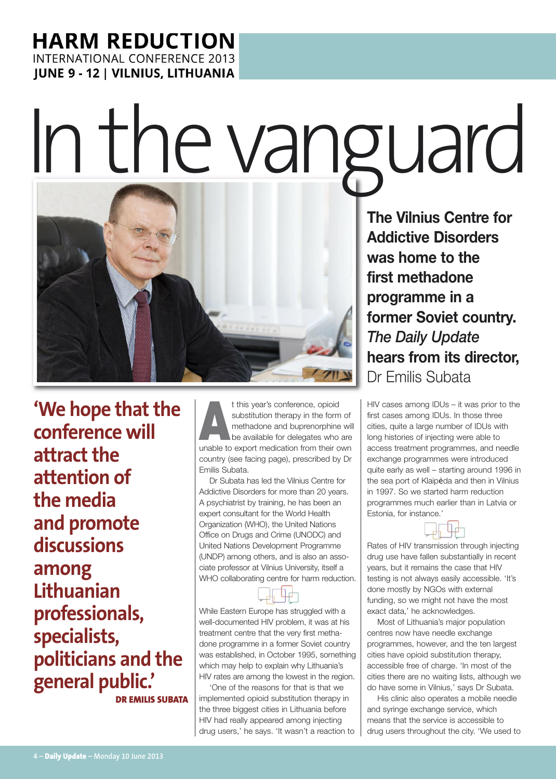# Inthevanguard



**'We hope that the conference will attract the attention of the media and promote discussions among Lithuanian professionals, specialists, politicians and the general public.'**

**DR EMILIS SUBATA**

t this year's conference, opioid<br>
substitution therapy in the form of<br>
the available for delegates who are<br>
unable to expert modiation from their exp substitution therapy in the form of methadone and buprenorphine will unable to export medication from their own country (see facing page), prescribed by Dr Emilis Subata.

Dr Subata has led the Vilnius Centre for Addictive Disorders for more than 20 years. A psychiatrist by training, he has been an expert consultant for the World Health Organization (WHO), the United Nations Office on Drugs and Crime (UNODC) and United Nations Development Programme (UNDP) among others, and is also an associate professor at Vilnius University, itself a WHO collaborating centre for harm reduction.

While Eastern Europe has struggled with a well-documented HIV problem, it was at his treatment centre that the very first methadone programme in a former Soviet country was established, in October 1995, something which may help to explain why Lithuania's HIV rates are among the lowest in the region.

'One of the reasons for that is that we implemented opioid substitution therapy in the three biggest cities in Lithuania before HIV had really appeared among injecting drug users,' he says. 'It wasn't a reaction to

**The Vilnius Centre for Addictive Disorders was home to the first methadone programme in a former Soviet country.** *The Daily Update* **hears from its director,** Dr Emilis Subata

HIV cases among IDUs – it was prior to the first cases among IDUs. In those three cities, quite a large number of IDUs with long histories of injecting were able to access treatment programmes, and needle exchange programmes were introduced quite early as well – starting around 1996 in the sea port of Klaipėda and then in Vilnius in 1997. So we started harm reduction programmes much earlier than in Latvia or Estonia, for instance.'



Rates of HIV transmission through injecting drug use have fallen substantially in recent years, but it remains the case that HIV testing is not always easily accessible. 'It's done mostly by NGOs with external funding, so we might not have the most exact data,' he acknowledges.

Most of Lithuania's major population centres now have needle exchange programmes, however, and the ten largest cities have opioid substitution therapy, accessible free of charge. 'In most of the cities there are no waiting lists, although we do have some in Vilnius,' says Dr Subata.

His clinic also operates a mobile needle and syringe exchange service, which means that the service is accessible to drug users throughout the city. 'We used to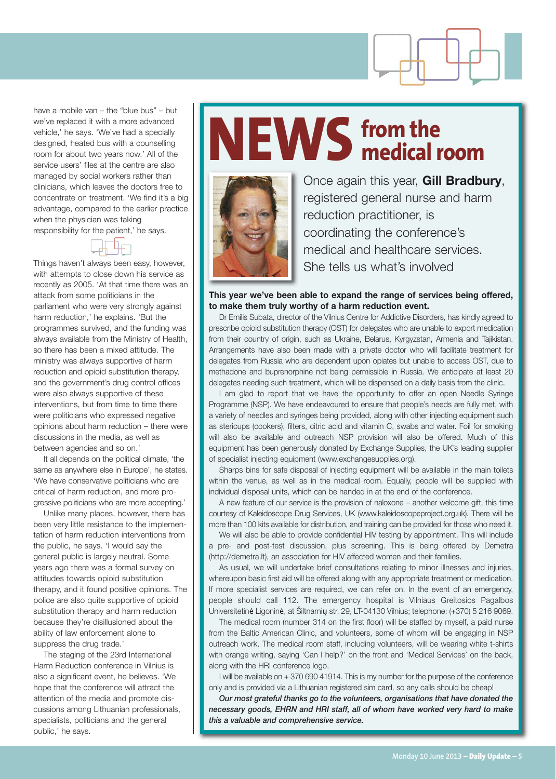

have a mobile van – the "blue bus" – but we've replaced it with a more advanced vehicle,' he says. 'We've had a specially designed, heated bus with a counselling room for about two years now.' All of the service users' files at the centre are also managed by social workers rather than clinicians, which leaves the doctors free to concentrate on treatment. 'We find it's a big advantage, compared to the earlier practice when the physician was taking responsibility for the patient,' he says.



Things haven't always been easy, however, with attempts to close down his service as recently as 2005. 'At that time there was an attack from some politicians in the parliament who were very strongly against harm reduction,' he explains. 'But the programmes survived, and the funding was always available from the Ministry of Health, so there has been a mixed attitude. The ministry was always supportive of harm reduction and opioid substitution therapy, and the government's drug control offices were also always supportive of these interventions, but from time to time there were politicians who expressed negative opinions about harm reduction – there were discussions in the media, as well as between agencies and so on.'

It all depends on the political climate, 'the same as anywhere else in Europe', he states. 'We have conservative politicians who are critical of harm reduction, and more progressive politicians who are more accepting.'

Unlike many places, however, there has been very little resistance to the implementation of harm reduction interventions from the public, he says. 'I would say the general public is largely neutral. Some years ago there was a formal survey on attitudes towards opioid substitution therapy, and it found positive opinions. The police are also quite supportive of opioid substitution therapy and harm reduction because they're disillusioned about the ability of law enforcement alone to suppress the drug trade.'

The staging of the 23rd International Harm Reduction conference in Vilnius is also a significant event, he believes. 'We hope that the conference will attract the attention of the media and promote discussions among Lithuanian professionals, specialists, politicians and the general public,' he says.

### **NEWS from the medical room**



Once again this year, **Gill Bradbury**, registered general nurse and harm reduction practitioner, is coordinating the conference's medical and healthcare services. She tells us what's involved

### **This year we've been able to expand the range of services being offered, to make them truly worthy of a harm reduction event.**

Dr Emilis Subata, director of the Vilnius Centre for Addictive Disorders, has kindly agreed to prescribe opioid substitution therapy (OST) for delegates who are unable to export medication from their country of origin, such as Ukraine, Belarus, Kyrgyzstan, Armenia and Tajikistan. Arrangements have also been made with a private doctor who will facilitate treatment for delegates from Russia who are dependent upon opiates but unable to access OST, due to methadone and buprenorphine not being permissible in Russia. We anticipate at least 20 delegates needing such treatment, which will be dispensed on a daily basis from the clinic.

I am glad to report that we have the opportunity to offer an open Needle Syringe Programme (NSP). We have endeavoured to ensure that people's needs are fully met, with a variety of needles and syringes being provided, along with other injecting equipment such as stericups (cookers), filters, citric acid and vitamin C, swabs and water. Foil for smoking will also be available and outreach NSP provision will also be offered. Much of this equipment has been generously donated by Exchange Supplies, the UK's leading supplier of specialist injecting equipment (www.exchangesupplies.org).

Sharps bins for safe disposal of injecting equipment will be available in the main toilets within the venue, as well as in the medical room. Equally, people will be supplied with individual disposal units, which can be handed in at the end of the conference.

A new feature of our service is the provision of naloxone – another welcome gift, this time courtesy of Kaleidoscope Drug Services, UK (www.kaleidoscopeproject.org.uk). There will be more than 100 kits available for distribution, and training can be provided for those who need it.

We will also be able to provide confidential HIV testing by appointment. This will include a pre- and post-test discussion, plus screening. This is being offered by Demetra (http://demetra.lt), an association for HIV affected women and their families.

As usual, we will undertake brief consultations relating to minor illnesses and injuries, whereupon basic first aid will be offered along with any appropriate treatment or medication. If more specialist services are required, we can refer on. In the event of an emergency, people should call 112. The emergency hospital is Vilniaus Greitosios Pagalbos Universitetinė Ligoninė, at Šiltnamių str. 29, LT-04130 Vilnius; telephone: (+370) 5 216 9069.

The medical room (number 314 on the first floor) will be staffed by myself, a paid nurse from the Baltic American Clinic, and volunteers, some of whom will be engaging in NSP outreach work. The medical room staff, including volunteers, will be wearing white t-shirts with orange writing, saying 'Can I help?' on the front and 'Medical Services' on the back, along with the HRI conference logo.

I will be available on + 370 690 41914. This is my number for the purpose of the conference only and is provided via a Lithuanian registered sim card, so any calls should be cheap!

*Our most grateful thanks go to the volunteers, organisations that have donated the necessary goods, EHRN and HRI staff, all of whom have worked very hard to make this a valuable and comprehensive service.*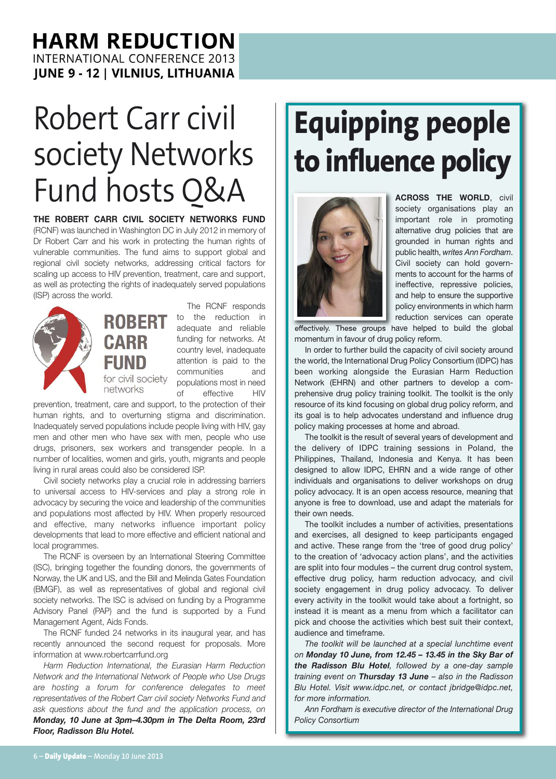### Robert Carr civil society Networks Fund hosts O&A **ACROSS THE WORLD,** CIVIL

**THE ROBERT CARR CIVIL SOCIETY NETWORKS FUND** (RCNF) was launched in Washington DC in July 2012 in memory of Dr Robert Carr and his work in protecting the human rights of vulnerable communities. The fund aims to support global and regional civil society networks, addressing critical factors for scaling up access to HIV prevention, treatment, care and support, as well as protecting the rights of inadequately served populations (ISP) across the world.





The RCNF responds to the reduction in adequate and reliable funding for networks. At country level, inadequate attention is paid to the communities and populations most in need of effective HIV

prevention, treatment, care and support, to the protection of their human rights, and to overturning stigma and discrimination. Inadequately served populations include people living with HIV, gay men and other men who have sex with men, people who use drugs, prisoners, sex workers and transgender people. In a number of localities, women and girls, youth, migrants and people living in rural areas could also be considered ISP.

Civil society networks play a crucial role in addressing barriers to universal access to HIV-services and play a strong role in advocacy by securing the voice and leadership of the communities and populations most affected by HIV. When properly resourced and effective, many networks influence important policy developments that lead to more effective and efficient national and local programmes.

The RCNF is overseen by an International Steering Committee (ISC), bringing together the founding donors, the governments of Norway, the UK and US, and the Bill and Melinda Gates Foundation (BMGF), as well as representatives of global and regional civil society networks. The ISC is advised on funding by a Programme Advisory Panel (PAP) and the fund is supported by a Fund Management Agent, Aids Fonds.

The RCNF funded 24 networks in its inaugural year, and has recently announced the second request for proposals. More information at www.robertcarrfund.org

*Harm Reduction International, the Eurasian Harm Reduction Network and the International Network of People who Use Drugs are hosting a forum for conference delegates to meet representatives of the Robert Carr civil society Networks Fund and ask questions about the fund and the application process, on Monday, 10 June at 3pm–4.30pm in The Delta Room, 23rd Floor, Radisson Blu Hotel.*

### **Equipping people to influence policy**



society organisations play an important role in promoting alternative drug policies that are grounded in human rights and public health, *writes Ann Fordham*. Civil society can hold governments to account for the harms of ineffective, repressive policies, and help to ensure the supportive policy environments in which harm reduction services can operate

effectively. These groups have helped to build the global momentum in favour of drug policy reform.

In order to further build the capacity of civil society around the world, the International Drug Policy Consortium (IDPC) has been working alongside the Eurasian Harm Reduction Network (EHRN) and other partners to develop a comprehensive drug policy training toolkit. The toolkit is the only resource of its kind focusing on global drug policy reform, and its goal is to help advocates understand and influence drug policy making processes at home and abroad.

The toolkit is the result of several years of development and the delivery of IDPC training sessions in Poland, the Philippines, Thailand, Indonesia and Kenya. It has been designed to allow IDPC, EHRN and a wide range of other individuals and organisations to deliver workshops on drug policy advocacy. It is an open access resource, meaning that anyone is free to download, use and adapt the materials for their own needs.

The toolkit includes a number of activities, presentations and exercises, all designed to keep participants engaged and active. These range from the 'tree of good drug policy' to the creation of 'advocacy action plans', and the activities are split into four modules – the current drug control system, effective drug policy, harm reduction advocacy, and civil society engagement in drug policy advocacy. To deliver every activity in the toolkit would take about a fortnight, so instead it is meant as a menu from which a facilitator can pick and choose the activities which best suit their context, audience and timeframe.

*The toolkit will be launched at a special lunchtime event on Monday 10 June, from 12.45 – 13.45 in the Sky Bar of the Radisson Blu Hotel, followed by a one-day sample training event on Thursday 13 June – also in the Radisson Blu Hotel. Visit www.idpc.net, or contact jbridge@idpc.net, for more information.*

*Ann Fordham is executive director of the International Drug Policy Consortium*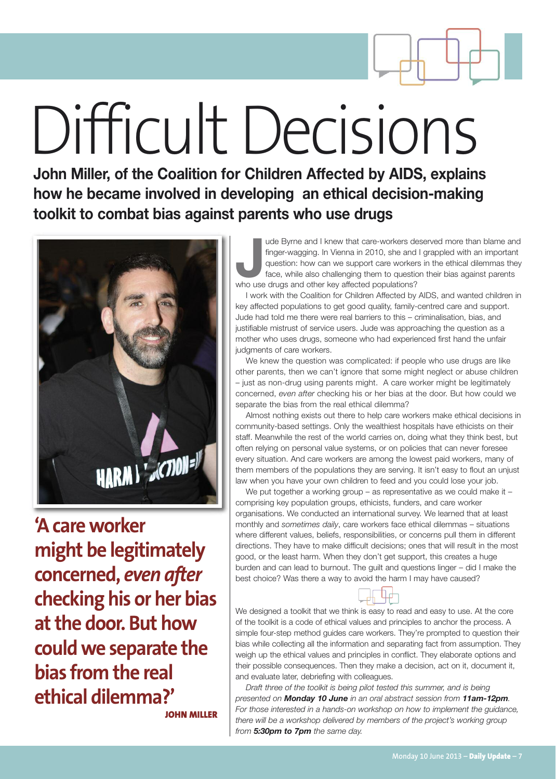

## Difficult Decisions

**John Miller, of the Coalition for Children Affected by AIDS, explains how he became involved in developing an ethical decision-making toolkit to combat bias against parents who use drugs**



**'Acareworker might be legitimately concerned,** *even after* **checking his or her bias atthe door. But how couldwe separate the bias from the real ethical dilemma?' JOHN MILLER**

**Jude Byrne and I knew that care-workers de finger-wagging. In Vienna in 2010, she and question: how can we support care worker face, while also challenging them to questic who use drugs and other key affected populations?** ude Byrne and I knew that care-workers deserved more than blame and finger-wagging. In Vienna in 2010, she and I grappled with an important question: how can we support care workers in the ethical dilemmas they face, while also challenging them to question their bias against parents

I work with the Coalition for Children Affected by AIDS, and wanted children in key affected populations to get good quality, family-centred care and support. Jude had told me there were real barriers to this – criminalisation, bias, and justifiable mistrust of service users. Jude was approaching the question as a mother who uses drugs, someone who had experienced first hand the unfair judgments of care workers.

We knew the question was complicated: if people who use drugs are like other parents, then we can't ignore that some might neglect or abuse children – just as non-drug using parents might. A care worker might be legitimately concerned, *even after* checking his or her bias at the door. But how could we separate the bias from the real ethical dilemma?

Almost nothing exists out there to help care workers make ethical decisions in community-based settings. Only the wealthiest hospitals have ethicists on their staff. Meanwhile the rest of the world carries on, doing what they think best, but often relying on personal value systems, or on policies that can never foresee every situation. And care workers are among the lowest paid workers, many of them members of the populations they are serving. It isn't easy to flout an unjust law when you have your own children to feed and you could lose your job.

We put together a working group – as representative as we could make it – comprising key population groups, ethicists, funders, and care worker organisations. We conducted an international survey. We learned that at least monthly and *sometimes daily*, care workers face ethical dilemmas – situations where different values, beliefs, responsibilities, or concerns pull them in different directions. They have to make difficult decisions; ones that will result in the most good, or the least harm. When they don't get support, this creates a huge burden and can lead to burnout. The guilt and questions linger – did I make the best choice? Was there a way to avoid the harm I may have caused?

We designed a toolkit that we think is easy to read and easy to use. At the core of the toolkit is a code of ethical values and principles to anchor the process. A simple four-step method guides care workers. They're prompted to question their bias while collecting all the information and separating fact from assumption. They weigh up the ethical values and principles in conflict. They elaborate options and their possible consequences. Then they make a decision, act on it, document it, and evaluate later, debriefing with colleagues.

*Draft three of the toolkit is being pilot tested this summer, and is being presented on Monday 10 June in an oral abstract session from 11am-12pm. For those interested in a hands-on workshop on how to implement the guidance, there will be a workshop delivered by members of the project's working group from 5:30pm to 7pm the same day.*